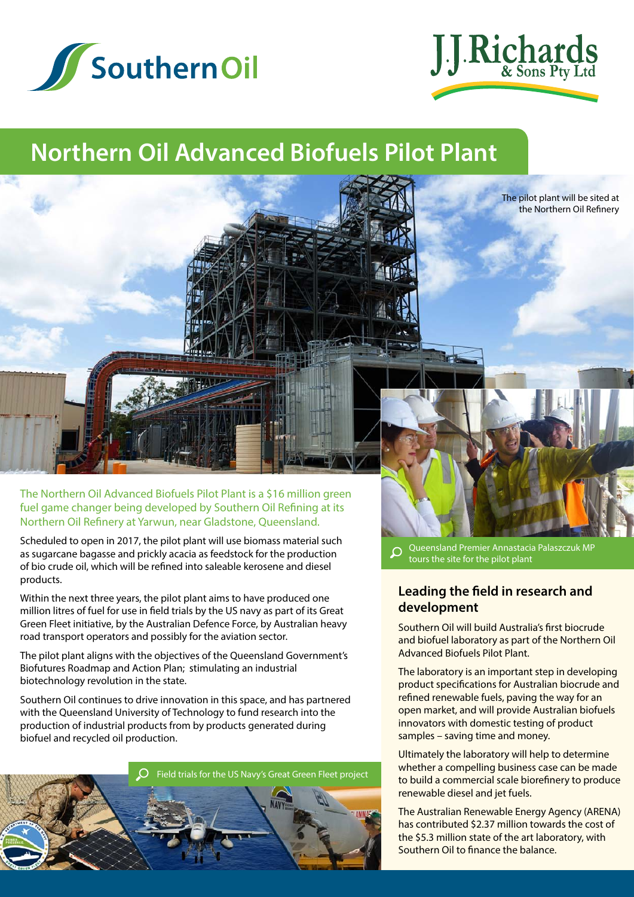



## **Northern Oil Advanced Biofuels Pilot Plant**



The pilot plant will be sited at the Northern Oil Refinery

The Northern Oil Advanced Biofuels Pilot Plant is a \$16 million green fuel game changer being developed by Southern Oil Refining at its Northern Oil Refinery at Yarwun, near Gladstone, Queensland.

Scheduled to open in 2017, the pilot plant will use biomass material such as sugarcane bagasse and prickly acacia as feedstock for the production of bio crude oil, which will be refined into saleable kerosene and diesel products.

Within the next three years, the pilot plant aims to have produced one million litres of fuel for use in field trials by the US navy as part of its Great Green Fleet initiative, by the Australian Defence Force, by Australian heavy road transport operators and possibly for the aviation sector.

The pilot plant aligns with the objectives of the Queensland Government's Biofutures Roadmap and Action Plan; stimulating an industrial biotechnology revolution in the state.

Southern Oil continues to drive innovation in this space, and has partnered with the Queensland University of Technology to fund research into the production of industrial products from by products generated during biofuel and recycled oil production.



Queensland Premier Annastacia Palaszczuk MP  $\Omega$ tours the site for the pilot plant

## **Leading the field in research and development**

Southern Oil will build Australia's first biocrude and biofuel laboratory as part of the Northern Oil Advanced Biofuels Pilot Plant.

The laboratory is an important step in developing product specifications for Australian biocrude and refined renewable fuels, paving the way for an open market, and will provide Australian biofuels innovators with domestic testing of product samples – saving time and money.

Ultimately the laboratory will help to determine whether a compelling business case can be made to build a commercial scale biorefinery to produce renewable diesel and jet fuels.

The Australian Renewable Energy Agency (ARENA) has contributed \$2.37 million towards the cost of the \$5.3 million state of the art laboratory, with Southern Oil to finance the balance.